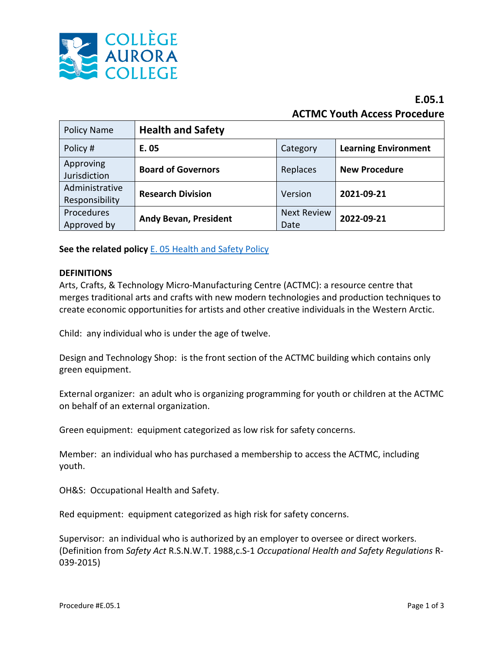

# **E.05.1 ACTMC Youth Access Procedure**

| <b>Policy Name</b>               | <b>Health and Safety</b>     |                            |                             |
|----------------------------------|------------------------------|----------------------------|-----------------------------|
| Policy #                         | E. 05                        | Category                   | <b>Learning Environment</b> |
| Approving<br>Jurisdiction        | <b>Board of Governors</b>    | Replaces                   | <b>New Procedure</b>        |
| Administrative<br>Responsibility | <b>Research Division</b>     | Version                    | 2021-09-21                  |
| Procedures<br>Approved by        | <b>Andy Bevan, President</b> | <b>Next Review</b><br>Date | 2022-09-21                  |

**See the related policy** [E. 05 Health and Safety Policy](https://sharepoint.auroracollege.nt.ca/bp/Aurora%20College%20Policies/E.%20Learning%20Environment/E05%20Health%20and%20Safety%20-%20January%202016.pdf)

#### **DEFINITIONS**

Arts, Crafts, & Technology Micro-Manufacturing Centre (ACTMC): a resource centre that merges traditional arts and crafts with new modern technologies and production techniques to create economic opportunities for artists and other creative individuals in the Western Arctic.

Child: any individual who is under the age of twelve.

Design and Technology Shop: is the front section of the ACTMC building which contains only green equipment.

External organizer: an adult who is organizing programming for youth or children at the ACTMC on behalf of an external organization.

Green equipment: equipment categorized as low risk for safety concerns.

Member: an individual who has purchased a membership to access the ACTMC, including youth.

OH&S: Occupational Health and Safety.

Red equipment: equipment categorized as high risk for safety concerns.

Supervisor: an individual who is authorized by an employer to oversee or direct workers. (Definition from *Safety Act* R.S.N.W.T. 1988,c.S-1 *Occupational Health and Safety Regulations* R-039-2015)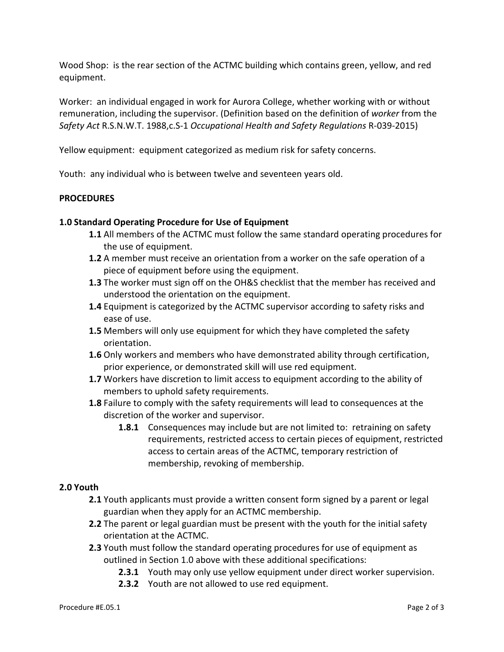Wood Shop: is the rear section of the ACTMC building which contains green, yellow, and red equipment.

Worker: an individual engaged in work for Aurora College, whether working with or without remuneration, including the supervisor. (Definition based on the definition of *worker* from the *Safety Act* R.S.N.W.T. 1988,c.S-1 *Occupational Health and Safety Regulations* R-039-2015)

Yellow equipment: equipment categorized as medium risk for safety concerns.

Youth: any individual who is between twelve and seventeen years old.

#### **PROCEDURES**

## **1.0 Standard Operating Procedure for Use of Equipment**

- **1.1** All members of the ACTMC must follow the same standard operating procedures for the use of equipment.
- **1.2** A member must receive an orientation from a worker on the safe operation of a piece of equipment before using the equipment.
- **1.3** The worker must sign off on the OH&S checklist that the member has received and understood the orientation on the equipment.
- **1.4** Equipment is categorized by the ACTMC supervisor according to safety risks and ease of use.
- **1.5** Members will only use equipment for which they have completed the safety orientation.
- **1.6** Only workers and members who have demonstrated ability through certification, prior experience, or demonstrated skill will use red equipment.
- **1.7** Workers have discretion to limit access to equipment according to the ability of members to uphold safety requirements.
- **1.8** Failure to comply with the safety requirements will lead to consequences at the discretion of the worker and supervisor.
	- **1.8.1** Consequences may include but are not limited to: retraining on safety requirements, restricted access to certain pieces of equipment, restricted access to certain areas of the ACTMC, temporary restriction of membership, revoking of membership.

## **2.0 Youth**

- **2.1** Youth applicants must provide a written consent form signed by a parent or legal guardian when they apply for an ACTMC membership.
- **2.2** The parent or legal guardian must be present with the youth for the initial safety orientation at the ACTMC.
- **2.3** Youth must follow the standard operating procedures for use of equipment as outlined in Section 1.0 above with these additional specifications:
	- **2.3.1** Youth may only use yellow equipment under direct worker supervision.
	- **2.3.2** Youth are not allowed to use red equipment.